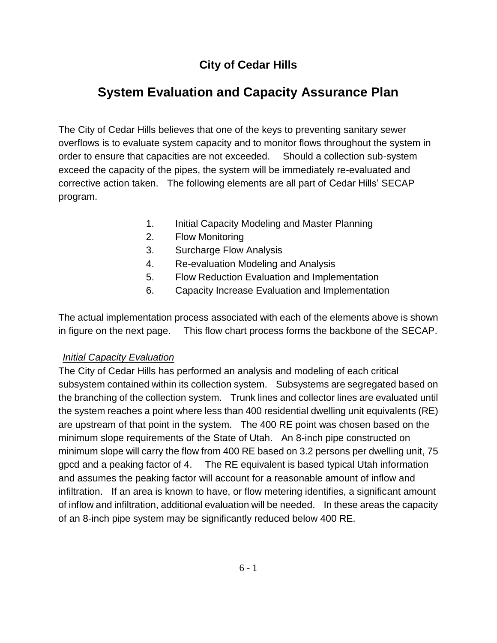## **City of Cedar Hills**

# **System Evaluation and Capacity Assurance Plan**

The City of Cedar Hills believes that one of the keys to preventing sanitary sewer overflows is to evaluate system capacity and to monitor flows throughout the system in order to ensure that capacities are not exceeded. Should a collection sub-system exceed the capacity of the pipes, the system will be immediately re-evaluated and corrective action taken. The following elements are all part of Cedar Hills' SECAP program.

- 1. Initial Capacity Modeling and Master Planning
- 2. Flow Monitoring
- 3. Surcharge Flow Analysis
- 4. Re-evaluation Modeling and Analysis
- 5. Flow Reduction Evaluation and Implementation
- 6. Capacity Increase Evaluation and Implementation

The actual implementation process associated with each of the elements above is shown in figure on the next page. This flow chart process forms the backbone of the SECAP.

#### *Initial Capacity Evaluation*

The City of Cedar Hills has performed an analysis and modeling of each critical subsystem contained within its collection system. Subsystems are segregated based on the branching of the collection system. Trunk lines and collector lines are evaluated until the system reaches a point where less than 400 residential dwelling unit equivalents (RE) are upstream of that point in the system. The 400 RE point was chosen based on the minimum slope requirements of the State of Utah. An 8-inch pipe constructed on minimum slope will carry the flow from 400 RE based on 3.2 persons per dwelling unit, 75 gpcd and a peaking factor of 4. The RE equivalent is based typical Utah information and assumes the peaking factor will account for a reasonable amount of inflow and infiltration. If an area is known to have, or flow metering identifies, a significant amount of inflow and infiltration, additional evaluation will be needed. In these areas the capacity of an 8-inch pipe system may be significantly reduced below 400 RE.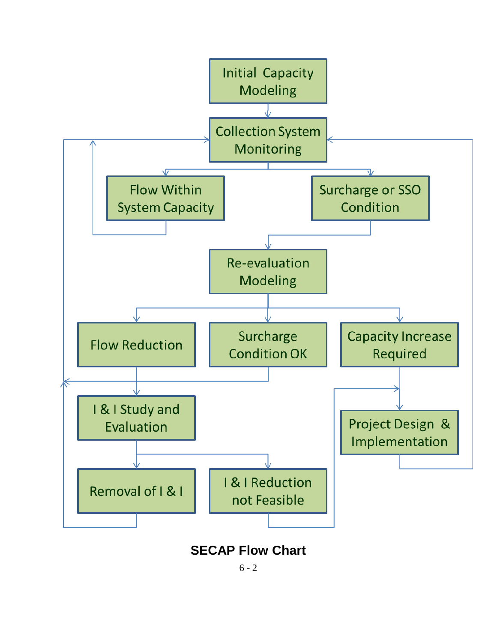

## **SECAP Flow Chart**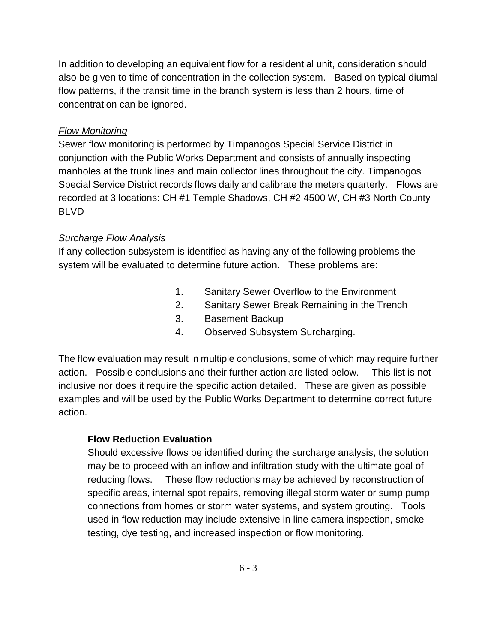In addition to developing an equivalent flow for a residential unit, consideration should also be given to time of concentration in the collection system. Based on typical diurnal flow patterns, if the transit time in the branch system is less than 2 hours, time of concentration can be ignored.

## *Flow Monitoring*

Sewer flow monitoring is performed by Timpanogos Special Service District in conjunction with the Public Works Department and consists of annually inspecting manholes at the trunk lines and main collector lines throughout the city. Timpanogos Special Service District records flows daily and calibrate the meters quarterly. Flows are recorded at 3 locations: CH #1 Temple Shadows, CH #2 4500 W, CH #3 North County BLVD

## *Surcharge Flow Analysis*

If any collection subsystem is identified as having any of the following problems the system will be evaluated to determine future action. These problems are:

- 1. Sanitary Sewer Overflow to the Environment
- 2. Sanitary Sewer Break Remaining in the Trench
- 3. Basement Backup
- 4. Observed Subsystem Surcharging.

The flow evaluation may result in multiple conclusions, some of which may require further action. Possible conclusions and their further action are listed below. This list is not inclusive nor does it require the specific action detailed. These are given as possible examples and will be used by the Public Works Department to determine correct future action.

## **Flow Reduction Evaluation**

Should excessive flows be identified during the surcharge analysis, the solution may be to proceed with an inflow and infiltration study with the ultimate goal of reducing flows. These flow reductions may be achieved by reconstruction of specific areas, internal spot repairs, removing illegal storm water or sump pump connections from homes or storm water systems, and system grouting. Tools used in flow reduction may include extensive in line camera inspection, smoke testing, dye testing, and increased inspection or flow monitoring.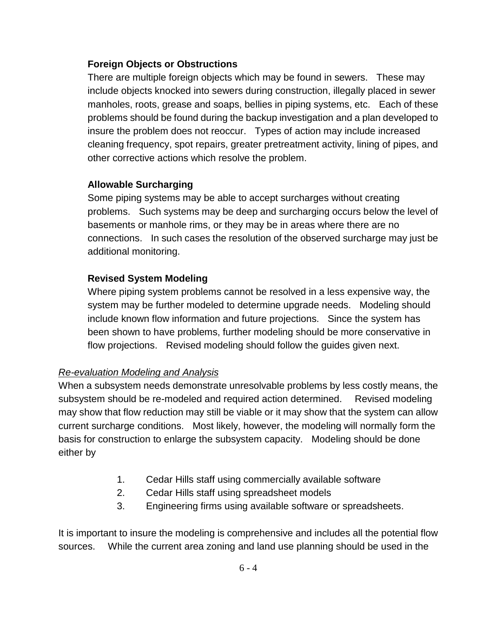#### **Foreign Objects or Obstructions**

There are multiple foreign objects which may be found in sewers. These may include objects knocked into sewers during construction, illegally placed in sewer manholes, roots, grease and soaps, bellies in piping systems, etc. Each of these problems should be found during the backup investigation and a plan developed to insure the problem does not reoccur. Types of action may include increased cleaning frequency, spot repairs, greater pretreatment activity, lining of pipes, and other corrective actions which resolve the problem.

## **Allowable Surcharging**

Some piping systems may be able to accept surcharges without creating problems. Such systems may be deep and surcharging occurs below the level of basements or manhole rims, or they may be in areas where there are no connections. In such cases the resolution of the observed surcharge may just be additional monitoring.

## **Revised System Modeling**

Where piping system problems cannot be resolved in a less expensive way, the system may be further modeled to determine upgrade needs. Modeling should include known flow information and future projections. Since the system has been shown to have problems, further modeling should be more conservative in flow projections. Revised modeling should follow the guides given next.

## *Re-evaluation Modeling and Analysis*

When a subsystem needs demonstrate unresolvable problems by less costly means, the subsystem should be re-modeled and required action determined. Revised modeling may show that flow reduction may still be viable or it may show that the system can allow current surcharge conditions. Most likely, however, the modeling will normally form the basis for construction to enlarge the subsystem capacity. Modeling should be done either by

- 1. Cedar Hills staff using commercially available software
- 2. Cedar Hills staff using spreadsheet models
- 3. Engineering firms using available software or spreadsheets.

It is important to insure the modeling is comprehensive and includes all the potential flow sources. While the current area zoning and land use planning should be used in the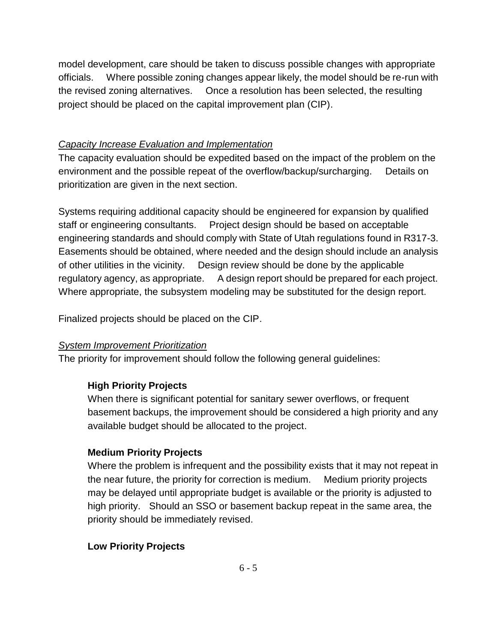model development, care should be taken to discuss possible changes with appropriate officials. Where possible zoning changes appear likely, the model should be re-run with the revised zoning alternatives. Once a resolution has been selected, the resulting project should be placed on the capital improvement plan (CIP).

#### *Capacity Increase Evaluation and Implementation*

The capacity evaluation should be expedited based on the impact of the problem on the environment and the possible repeat of the overflow/backup/surcharging. Details on prioritization are given in the next section.

Systems requiring additional capacity should be engineered for expansion by qualified staff or engineering consultants. Project design should be based on acceptable engineering standards and should comply with State of Utah regulations found in R317-3. Easements should be obtained, where needed and the design should include an analysis of other utilities in the vicinity. Design review should be done by the applicable regulatory agency, as appropriate. A design report should be prepared for each project. Where appropriate, the subsystem modeling may be substituted for the design report.

Finalized projects should be placed on the CIP.

#### *System Improvement Prioritization*

The priority for improvement should follow the following general guidelines:

## **High Priority Projects**

When there is significant potential for sanitary sewer overflows, or frequent basement backups, the improvement should be considered a high priority and any available budget should be allocated to the project.

#### **Medium Priority Projects**

Where the problem is infrequent and the possibility exists that it may not repeat in the near future, the priority for correction is medium. Medium priority projects may be delayed until appropriate budget is available or the priority is adjusted to high priority. Should an SSO or basement backup repeat in the same area, the priority should be immediately revised.

## **Low Priority Projects**